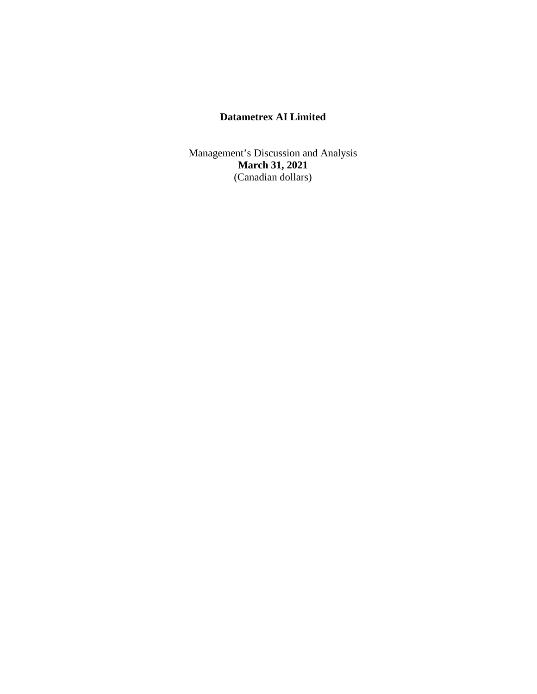Management's Discussion and Analysis **March 31, 2021** (Canadian dollars)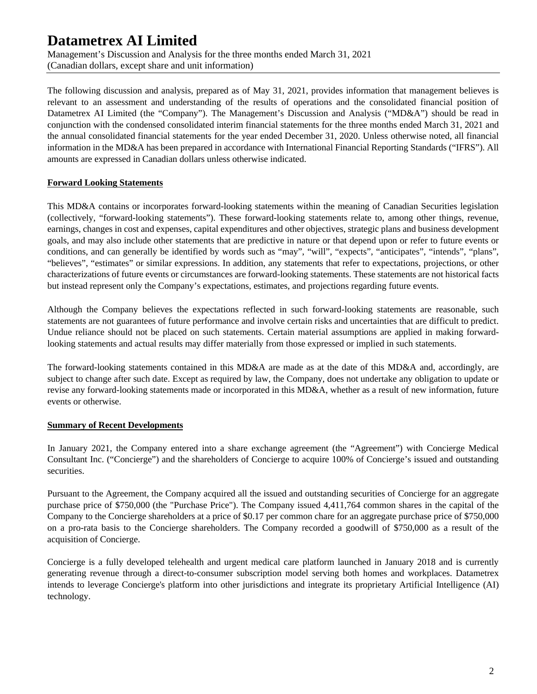Management's Discussion and Analysis for the three months ended March 31, 2021 (Canadian dollars, except share and unit information)

The following discussion and analysis, prepared as of May 31, 2021, provides information that management believes is relevant to an assessment and understanding of the results of operations and the consolidated financial position of Datametrex AI Limited (the "Company"). The Management's Discussion and Analysis ("MD&A") should be read in conjunction with the condensed consolidated interim financial statements for the three months ended March 31, 2021 and the annual consolidated financial statements for the year ended December 31, 2020. Unless otherwise noted, all financial information in the MD&A has been prepared in accordance with International Financial Reporting Standards ("IFRS"). All amounts are expressed in Canadian dollars unless otherwise indicated.

# **Forward Looking Statements**

This MD&A contains or incorporates forward-looking statements within the meaning of Canadian Securities legislation (collectively, "forward-looking statements"). These forward-looking statements relate to, among other things, revenue, earnings, changes in cost and expenses, capital expenditures and other objectives, strategic plans and business development goals, and may also include other statements that are predictive in nature or that depend upon or refer to future events or conditions, and can generally be identified by words such as "may", "will", "expects", "anticipates", "intends", "plans", "believes", "estimates" or similar expressions. In addition, any statements that refer to expectations, projections, or other characterizations of future events or circumstances are forward-looking statements. These statements are not historical facts but instead represent only the Company's expectations, estimates, and projections regarding future events.

Although the Company believes the expectations reflected in such forward-looking statements are reasonable, such statements are not guarantees of future performance and involve certain risks and uncertainties that are difficult to predict. Undue reliance should not be placed on such statements. Certain material assumptions are applied in making forwardlooking statements and actual results may differ materially from those expressed or implied in such statements.

The forward-looking statements contained in this MD&A are made as at the date of this MD&A and, accordingly, are subject to change after such date. Except as required by law, the Company, does not undertake any obligation to update or revise any forward-looking statements made or incorporated in this MD&A, whether as a result of new information, future events or otherwise.

### **Summary of Recent Developments**

In January 2021, the Company entered into a share exchange agreement (the "Agreement") with Concierge Medical Consultant Inc. ("Concierge") and the shareholders of Concierge to acquire 100% of Concierge's issued and outstanding securities.

Pursuant to the Agreement, the Company acquired all the issued and outstanding securities of Concierge for an aggregate purchase price of \$750,000 (the "Purchase Price"). The Company issued 4,411,764 common shares in the capital of the Company to the Concierge shareholders at a price of \$0.17 per common chare for an aggregate purchase price of \$750,000 on a pro-rata basis to the Concierge shareholders. The Company recorded a goodwill of \$750,000 as a result of the acquisition of Concierge.

Concierge is a fully developed telehealth and urgent medical care platform launched in January 2018 and is currently generating revenue through a direct-to-consumer subscription model serving both homes and workplaces. Datametrex intends to leverage Concierge's platform into other jurisdictions and integrate its proprietary Artificial Intelligence (AI) technology.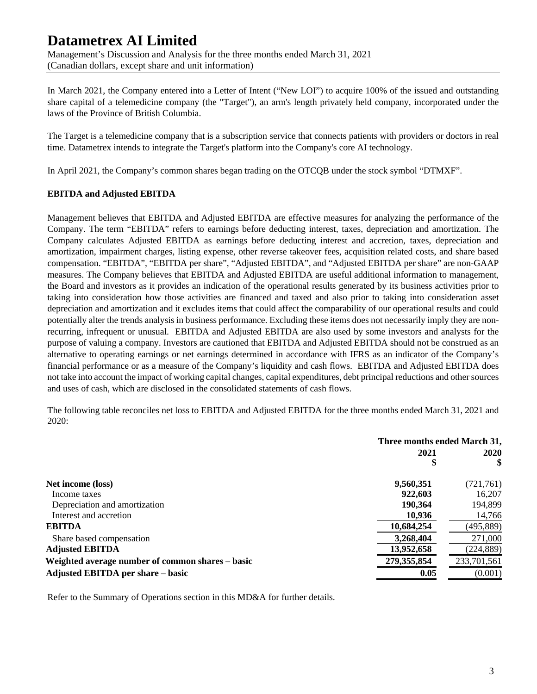Management's Discussion and Analysis for the three months ended March 31, 2021 (Canadian dollars, except share and unit information)

In March 2021, the Company entered into a Letter of Intent ("New LOI") to acquire 100% of the issued and outstanding share capital of a telemedicine company (the "Target"), an arm's length privately held company, incorporated under the laws of the Province of British Columbia.

The Target is a telemedicine company that is a subscription service that connects patients with providers or doctors in real time. Datametrex intends to integrate the Target's platform into the Company's core AI technology.

In April 2021, the Company's common shares began trading on the OTCQB under the stock symbol "DTMXF".

# **EBITDA and Adjusted EBITDA**

Management believes that EBITDA and Adjusted EBITDA are effective measures for analyzing the performance of the Company. The term "EBITDA" refers to earnings before deducting interest, taxes, depreciation and amortization. The Company calculates Adjusted EBITDA as earnings before deducting interest and accretion, taxes, depreciation and amortization, impairment charges, listing expense, other reverse takeover fees, acquisition related costs, and share based compensation. "EBITDA", "EBITDA per share", "Adjusted EBITDA", and "Adjusted EBITDA per share" are non-GAAP measures. The Company believes that EBITDA and Adjusted EBITDA are useful additional information to management, the Board and investors as it provides an indication of the operational results generated by its business activities prior to taking into consideration how those activities are financed and taxed and also prior to taking into consideration asset depreciation and amortization and it excludes items that could affect the comparability of our operational results and could potentially alter the trends analysis in business performance. Excluding these items does not necessarily imply they are nonrecurring, infrequent or unusual. EBITDA and Adjusted EBITDA are also used by some investors and analysts for the purpose of valuing a company. Investors are cautioned that EBITDA and Adjusted EBITDA should not be construed as an alternative to operating earnings or net earnings determined in accordance with IFRS as an indicator of the Company's financial performance or as a measure of the Company's liquidity and cash flows. EBITDA and Adjusted EBITDA does not take into account the impact of working capital changes, capital expenditures, debt principal reductions and other sources and uses of cash, which are disclosed in the consolidated statements of cash flows.

The following table reconciles net loss to EBITDA and Adjusted EBITDA for the three months ended March 31, 2021 and 2020:

|                                                  | Three months ended March 31, |             |  |
|--------------------------------------------------|------------------------------|-------------|--|
|                                                  | 2021                         | 2020<br>\$  |  |
| Net income (loss)                                | 9,560,351                    | (721,761)   |  |
| Income taxes                                     | 922,603                      | 16,207      |  |
| Depreciation and amortization                    | 190,364                      | 194,899     |  |
| Interest and accretion                           | 10.936                       | 14,766      |  |
| <b>EBITDA</b>                                    | 10,684,254                   | (495, 889)  |  |
| Share based compensation                         | 3,268,404                    | 271,000     |  |
| <b>Adjusted EBITDA</b>                           | 13,952,658                   | (224, 889)  |  |
| Weighted average number of common shares - basic | 279, 355, 854                | 233,701,561 |  |
| Adjusted EBITDA per share - basic                | 0.05                         | (0.001)     |  |

Refer to the Summary of Operations section in this MD&A for further details.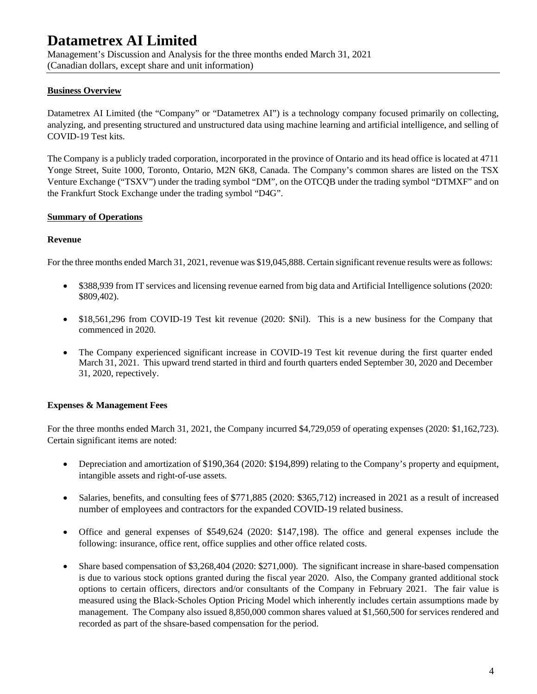Management's Discussion and Analysis for the three months ended March 31, 2021 (Canadian dollars, except share and unit information)

# **Business Overview**

Datametrex AI Limited (the "Company" or "Datametrex AI") is a technology company focused primarily on collecting, analyzing, and presenting structured and unstructured data using machine learning and artificial intelligence, and selling of COVID-19 Test kits.

The Company is a publicly traded corporation, incorporated in the province of Ontario and its head office is located at 4711 Yonge Street, Suite 1000, Toronto, Ontario, M2N 6K8, Canada. The Company's common shares are listed on the TSX Venture Exchange ("TSXV") under the trading symbol "DM", on the OTCQB under the trading symbol "DTMXF" and on the Frankfurt Stock Exchange under the trading symbol "D4G".

# **Summary of Operations**

### **Revenue**

For the three months ended March 31, 2021, revenue was \$19,045,888. Certain significant revenue results were as follows:

- \$388,939 from IT services and licensing revenue earned from big data and Artificial Intelligence solutions (2020: \$809,402).
- \$18,561,296 from COVID-19 Test kit revenue (2020: \$Nil). This is a new business for the Company that commenced in 2020.
- The Company experienced significant increase in COVID-19 Test kit revenue during the first quarter ended March 31, 2021. This upward trend started in third and fourth quarters ended September 30, 2020 and December 31, 2020, repectively.

### **Expenses & Management Fees**

For the three months ended March 31, 2021, the Company incurred \$4,729,059 of operating expenses (2020: \$1,162,723). Certain significant items are noted:

- Depreciation and amortization of \$190,364 (2020: \$194,899) relating to the Company's property and equipment, intangible assets and right-of-use assets.
- Salaries, benefits, and consulting fees of \$771,885 (2020: \$365,712) increased in 2021 as a result of increased number of employees and contractors for the expanded COVID-19 related business.
- Office and general expenses of \$549,624 (2020: \$147,198). The office and general expenses include the following: insurance, office rent, office supplies and other office related costs.
- Share based compensation of \$3,268,404 (2020: \$271,000). The significant increase in share-based compensation is due to various stock options granted during the fiscal year 2020. Also, the Company granted additional stock options to certain officers, directors and/or consultants of the Company in February 2021. The fair value is measured using the Black-Scholes Option Pricing Model which inherently includes certain assumptions made by management. The Company also issued 8,850,000 common shares valued at \$1,560,500 for services rendered and recorded as part of the shsare-based compensation for the period.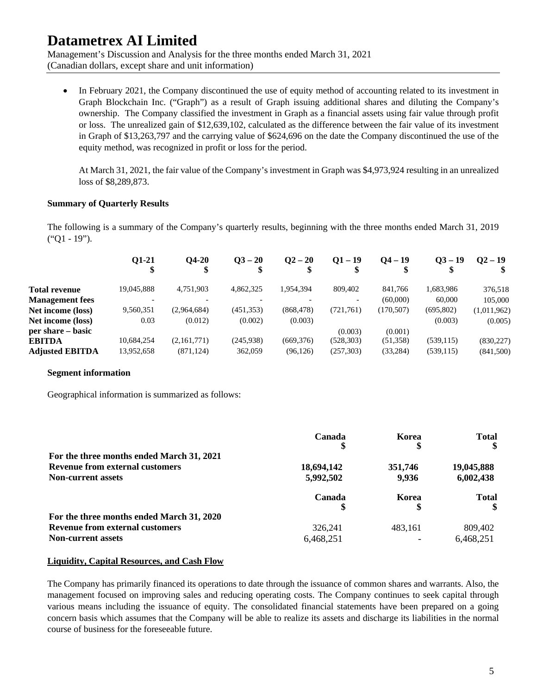Management's Discussion and Analysis for the three months ended March 31, 2021 (Canadian dollars, except share and unit information)

In February 2021, the Company discontinued the use of equity method of accounting related to its investment in Graph Blockchain Inc. ("Graph") as a result of Graph issuing additional shares and diluting the Company's ownership. The Company classified the investment in Graph as a financial assets using fair value through profit or loss. The unrealized gain of \$12,639,102, calculated as the difference between the fair value of its investment in Graph of \$13,263,797 and the carrying value of \$624,696 on the date the Company discontinued the use of the equity method, was recognized in profit or loss for the period.

At March 31, 2021, the fair value of the Company's investment in Graph was \$4,973,924 resulting in an unrealized loss of \$8,289,873.

### **Summary of Quarterly Results**

The following is a summary of the Company's quarterly results, beginning with the three months ended March 31, 2019 ("Q1 - 19").

|                        | 01-21<br>\$ | <b>O4-20</b> | $Q_{}^3 - 20$ | $Q^2 - 20$ | $Q1 - 19$  | $Q4 - 19$  | $Q3 - 19$  | $Q2 - 19$   |
|------------------------|-------------|--------------|---------------|------------|------------|------------|------------|-------------|
| <b>Total revenue</b>   | 19,045,888  | 4.751.903    | 4.862.325     | 1,954,394  | 809,402    | 841.766    | 1,683,986  | 376,518     |
| <b>Management</b> fees |             |              |               |            |            | (60,000)   | 60,000     | 105,000     |
| Net income (loss)      | 9,560,351   | (2,964,684)  | (451, 353)    | (868, 478) | (721,761)  | (170, 507) | (695, 802) | (1,011,962) |
| Net income (loss)      | 0.03        | (0.012)      | (0.002)       | (0.003)    |            |            | (0.003)    | (0.005)     |
| per share – basic      |             |              |               |            | (0.003)    | (0.001)    |            |             |
| <b>EBITDA</b>          | 10,684,254  | (2,161,771)  | (245,938)     | (669, 376) | (528, 303) | (51,358)   | (539, 115) | (830, 227)  |
| <b>Adjusted EBITDA</b> | 13,952,658  | (871, 124)   | 362,059       | (96, 126)  | (257,303)  | (33, 284)  | (539, 115) | (841,500)   |

#### **Segment information**

Geographical information is summarized as follows:

|                                           | Canada     | Korea   | <b>Total</b> |
|-------------------------------------------|------------|---------|--------------|
|                                           | S          | \$      |              |
| For the three months ended March 31, 2021 |            |         |              |
| <b>Revenue from external customers</b>    | 18,694,142 | 351,746 | 19,045,888   |
| <b>Non-current assets</b>                 | 5,992,502  | 9.936   | 6,002,438    |
|                                           | Canada     | Korea   | <b>Total</b> |
| For the three months ended March 31, 2020 |            |         |              |
| <b>Revenue from external customers</b>    | 326.241    | 483.161 | 809,402      |
| <b>Non-current assets</b>                 | 6,468,251  |         | 6,468,251    |

#### **Liquidity, Capital Resources, and Cash Flow**

The Company has primarily financed its operations to date through the issuance of common shares and warrants. Also, the management focused on improving sales and reducing operating costs. The Company continues to seek capital through various means including the issuance of equity. The consolidated financial statements have been prepared on a going concern basis which assumes that the Company will be able to realize its assets and discharge its liabilities in the normal course of business for the foreseeable future.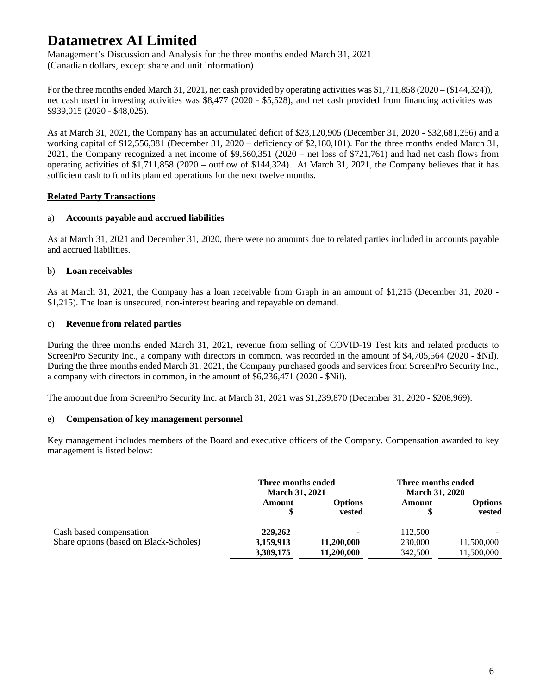Management's Discussion and Analysis for the three months ended March 31, 2021 (Canadian dollars, except share and unit information)

For the three months ended March 31, 2021**,** net cash provided by operating activities was \$1,711,858 (2020 – (\$144,324)), net cash used in investing activities was \$8,477 (2020 - \$5,528), and net cash provided from financing activities was \$939,015 (2020 - \$48,025).

As at March 31, 2021, the Company has an accumulated deficit of \$23,120,905 (December 31, 2020 - \$32,681,256) and a working capital of \$12,556,381 (December 31, 2020 – deficiency of \$2,180,101). For the three months ended March 31, 2021, the Company recognized a net income of \$9,560,351 (2020 – net loss of \$721,761) and had net cash flows from operating activities of \$1,711,858 (2020 – outflow of \$144,324). At March 31, 2021, the Company believes that it has sufficient cash to fund its planned operations for the next twelve months.

# **Related Party Transactions**

### a) **Accounts payable and accrued liabilities**

As at March 31, 2021 and December 31, 2020, there were no amounts due to related parties included in accounts payable and accrued liabilities.

# b) **Loan receivables**

As at March 31, 2021, the Company has a loan receivable from Graph in an amount of \$1,215 (December 31, 2020 - \$1,215). The loan is unsecured, non-interest bearing and repayable on demand.

### c) **Revenue from related parties**

During the three months ended March 31, 2021, revenue from selling of COVID-19 Test kits and related products to ScreenPro Security Inc., a company with directors in common, was recorded in the amount of \$4,705,564 (2020 - \$Nil). During the three months ended March 31, 2021, the Company purchased goods and services from ScreenPro Security Inc., a company with directors in common, in the amount of \$6,236,471 (2020 - \$Nil).

The amount due from ScreenPro Security Inc. at March 31, 2021 was \$1,239,870 (December 31, 2020 - \$208,969).

### e) **Compensation of key management personnel**

Key management includes members of the Board and executive officers of the Company. Compensation awarded to key management is listed below:

|                                        | Three months ended<br><b>March 31, 2021</b> |                          | Three months ended<br><b>March 31, 2020</b> |                   |
|----------------------------------------|---------------------------------------------|--------------------------|---------------------------------------------|-------------------|
|                                        | Amount                                      | <b>Options</b><br>vested | Amount                                      | Options<br>vested |
| Cash based compensation                | 229,262                                     | $\overline{\phantom{a}}$ | 112,500                                     |                   |
| Share options (based on Black-Scholes) | 3,159,913                                   | 11,200,000               | 230,000                                     | 11,500,000        |
|                                        | 3,389,175                                   | 11,200,000               | 342,500                                     | 11,500,000        |